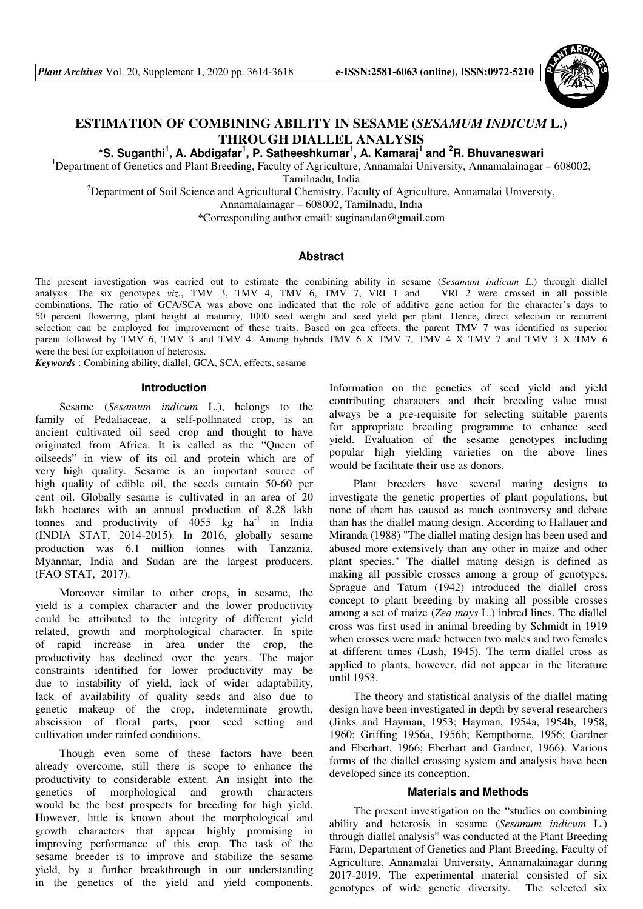

# **ESTIMATION OF COMBINING ABILITY IN SESAME (***SESAMUM INDICUM* **L.) THROUGH DIALLEL ANALYSIS**

**\*S. Suganthi<sup>1</sup> , A. Abdigafar<sup>1</sup> , P. Satheeshkumar<sup>1</sup> , A. Kamaraj<sup>1</sup> and <sup>2</sup>R. Bhuvaneswari** 

<sup>1</sup>Department of Genetics and Plant Breeding, Faculty of Agriculture, Annamalai University, Annamalainagar – 608002,

Tamilnadu, India

<sup>2</sup>Department of Soil Science and Agricultural Chemistry, Faculty of Agriculture, Annamalai University,

Annamalainagar – 608002, Tamilnadu, India

\*Corresponding author email: suginandan@gmail.com

### **Abstract**

The present investigation was carried out to estimate the combining ability in sesame (*Sesamum indicum L*.) through diallel analysis. The six genotypes *viz.*, TMV 3, TMV 4, TMV 6, TMV 7, VRI 1 and VRI 2 were crossed in all possible combinations. The ratio of GCA/SCA was above one indicated that the role of additive gene action for the character's days to 50 percent flowering, plant height at maturity, 1000 seed weight and seed yield per plant. Hence, direct selection or recurrent selection can be employed for improvement of these traits. Based on gca effects, the parent TMV 7 was identified as superior parent followed by TMV 6, TMV 3 and TMV 4. Among hybrids TMV 6 X TMV 7, TMV 4 X TMV 7 and TMV 3 X TMV 6 were the best for exploitation of heterosis.

*Keywords* : Combining ability, diallel, GCA, SCA, effects, sesame

## **Introduction**

Sesame (*Sesamum indicum* L.), belongs to the family of Pedaliaceae, a self-pollinated crop, is an ancient cultivated oil seed crop and thought to have originated from Africa. It is called as the "Queen of oilseeds" in view of its oil and protein which are of very high quality. Sesame is an important source of high quality of edible oil, the seeds contain 50-60 per cent oil. Globally sesame is cultivated in an area of 20 lakh hectares with an annual production of 8.28 lakh tonnes and productivity of  $4055 \text{ kg}$  ha<sup>-1</sup> in India (INDIA STAT, 2014-2015). In 2016, globally sesame production was 6.1 million tonnes with Tanzania, Myanmar, India and Sudan are the largest producers. (FAO STAT, 2017).

Moreover similar to other crops, in sesame, the yield is a complex character and the lower productivity could be attributed to the integrity of different yield related, growth and morphological character. In spite of rapid increase in area under the crop, the productivity has declined over the years. The major constraints identified for lower productivity may be due to instability of yield, lack of wider adaptability, lack of availability of quality seeds and also due to genetic makeup of the crop, indeterminate growth, abscission of floral parts, poor seed setting and cultivation under rainfed conditions.

Though even some of these factors have been already overcome, still there is scope to enhance the productivity to considerable extent. An insight into the genetics of morphological and growth characters would be the best prospects for breeding for high yield. However, little is known about the morphological and growth characters that appear highly promising in improving performance of this crop. The task of the sesame breeder is to improve and stabilize the sesame yield, by a further breakthrough in our understanding in the genetics of the yield and yield components.

Information on the genetics of seed yield and yield contributing characters and their breeding value must always be a pre-requisite for selecting suitable parents for appropriate breeding programme to enhance seed yield. Evaluation of the sesame genotypes including popular high yielding varieties on the above lines would be facilitate their use as donors.

Plant breeders have several mating designs to investigate the genetic properties of plant populations, but none of them has caused as much controversy and debate than has the diallel mating design. According to Hallauer and Miranda (1988) "The diallel mating design has been used and abused more extensively than any other in maize and other plant species." The diallel mating design is defined as making all possible crosses among a group of genotypes. Sprague and Tatum (1942) introduced the diallel cross concept to plant breeding by making all possible crosses among a set of maize (*Zea mays* L.) inbred lines. The diallel cross was first used in animal breeding by Schmidt in 1919 when crosses were made between two males and two females at different times (Lush, 1945). The term diallel cross as applied to plants, however, did not appear in the literature until 1953.

The theory and statistical analysis of the diallel mating design have been investigated in depth by several researchers (Jinks and Hayman, 1953; Hayman, 1954a, 1954b, 1958, 1960; Griffing 1956a, 1956b; Kempthorne, 1956; Gardner and Eberhart, 1966; Eberhart and Gardner, 1966). Various forms of the diallel crossing system and analysis have been developed since its conception.

#### **Materials and Methods**

The present investigation on the "studies on combining ability and heterosis in sesame (*Sesamum indicum* L.) through diallel analysis" was conducted at the Plant Breeding Farm, Department of Genetics and Plant Breeding, Faculty of Agriculture, Annamalai University, Annamalainagar during 2017-2019. The experimental material consisted of six genotypes of wide genetic diversity. The selected six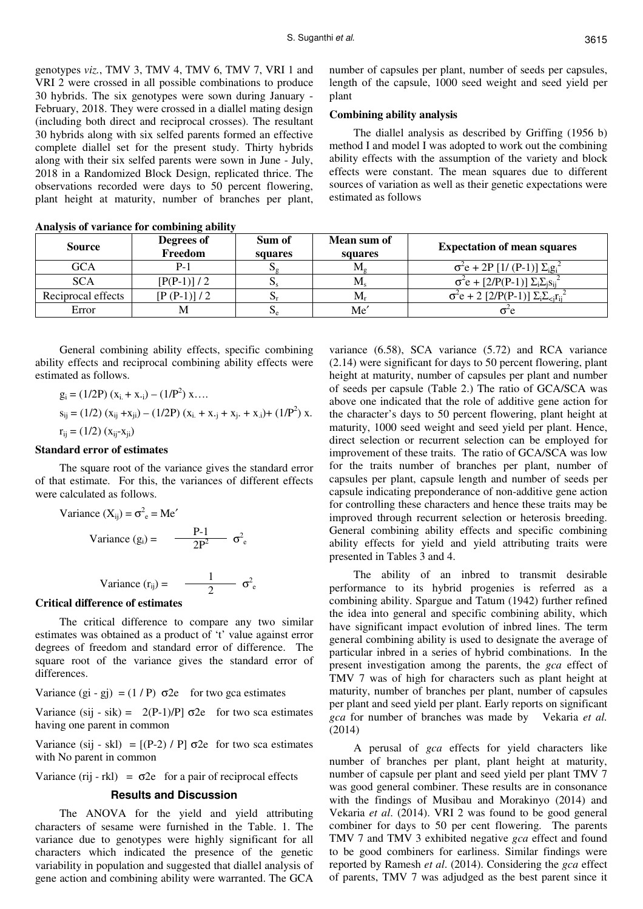genotypes *viz.*, TMV 3, TMV 4, TMV 6, TMV 7, VRI 1 and VRI 2 were crossed in all possible combinations to produce 30 hybrids. The six genotypes were sown during January - February, 2018. They were crossed in a diallel mating design (including both direct and reciprocal crosses). The resultant 30 hybrids along with six selfed parents formed an effective complete diallel set for the present study. Thirty hybrids along with their six selfed parents were sown in June - July, 2018 in a Randomized Block Design, replicated thrice. The observations recorded were days to 50 percent flowering, plant height at maturity, number of branches per plant,

number of capsules per plant, number of seeds per capsules, length of the capsule, 1000 seed weight and seed yield per plant

# **Combining ability analysis**

The diallel analysis as described by Griffing (1956 b) method I and model I was adopted to work out the combining ability effects with the assumption of the variety and block effects were constant. The mean squares due to different sources of variation as well as their genetic expectations were estimated as follows

| <b>Source</b>      | Degrees of<br>Freedom | Sum of<br>squares | Mean sum of<br>squares | <b>Expectation of mean squares</b>                   |
|--------------------|-----------------------|-------------------|------------------------|------------------------------------------------------|
| GCA                |                       | ື້                | M.                     | $\sigma^2 e + 2P [1/(P-1)] \Sigma_i g_i^2$           |
| SCA                | $[P(P-1)]/2$          |                   | $M_{\rm c}$            | $\sigma^2 e + [2/P(P-1)] \Sigma_i \Sigma_i s_{ii}^2$ |
| Reciprocal effects | $[P(P-1)]/2$          |                   | M.                     | $\sigma^2 e + 2 [2/P(P-1)] \sum_i \sum_{i} r_{ii}^2$ |
| Error              |                       | $\mathbf{v}_e$    | Me                     | о е                                                  |

**Analysis of variance for combining ability** 

General combining ability effects, specific combining ability effects and reciprocal combining ability effects were estimated as follows.

$$
g_i = (1/2P) (x_i + x_{\cdot i}) - (1/P^2) x \dots
$$
  
\n
$$
s_{ij} = (1/2) (x_{ij} + x_{ji}) - (1/2P) (x_i + x_{\cdot j} + x_{j\cdot} + x_{\cdot i}) + (1/P^2) x.
$$
  
\n
$$
r_{ij} = (1/2) (x_{ij} - x_{ji})
$$

## **Standard error of estimates**

The square root of the variance gives the standard error of that estimate. For this, the variances of different effects were calculated as follows.

Variance 
$$
(X_{ij}) = \sigma^2_e = Me'
$$
  
Variance  $(g_i) = \frac{P-1}{2P^2} \sigma^2$ 

Variance 
$$
(r_{ij}) = \frac{1}{2} \sigma^2
$$

e

e

#### **Critical difference of estimates**

The critical difference to compare any two similar estimates was obtained as a product of 't' value against error degrees of freedom and standard error of difference. The square root of the variance gives the standard error of differences.

Variance  $(g_i - g_j) = (1 / P) \sigma 2e$  for two gca estimates

Variance (sij - sik) =  $2(P-1)/P$ ]  $\sigma$ 2e for two sca estimates having one parent in common

Variance (sij - skl) =  $[(P-2)/P]$   $\sigma$ 2e for two sca estimates with No parent in common

Variance (rij - rkl) =  $\sigma$ 2e for a pair of reciprocal effects

### **Results and Discussion**

The ANOVA for the yield and yield attributing characters of sesame were furnished in the Table. 1. The variance due to genotypes were highly significant for all characters which indicated the presence of the genetic variability in population and suggested that diallel analysis of gene action and combining ability were warranted. The GCA

variance (6.58), SCA variance (5.72) and RCA variance (2.14) were significant for days to 50 percent flowering, plant height at maturity, number of capsules per plant and number of seeds per capsule (Table 2.) The ratio of GCA/SCA was above one indicated that the role of additive gene action for the character's days to 50 percent flowering, plant height at maturity, 1000 seed weight and seed yield per plant. Hence, direct selection or recurrent selection can be employed for improvement of these traits. The ratio of GCA/SCA was low for the traits number of branches per plant, number of capsules per plant, capsule length and number of seeds per capsule indicating preponderance of non-additive gene action for controlling these characters and hence these traits may be improved through recurrent selection or heterosis breeding. General combining ability effects and specific combining ability effects for yield and yield attributing traits were presented in Tables 3 and 4.

The ability of an inbred to transmit desirable performance to its hybrid progenies is referred as a combining ability. Spargue and Tatum (1942) further refined the idea into general and specific combining ability, which have significant impact evolution of inbred lines. The term general combining ability is used to designate the average of particular inbred in a series of hybrid combinations. In the present investigation among the parents, the *gca* effect of TMV 7 was of high for characters such as plant height at maturity, number of branches per plant, number of capsules per plant and seed yield per plant. Early reports on significant *gca* for number of branches was made by Vekaria *et al.* (2014)

A perusal of *gca* effects for yield characters like number of branches per plant, plant height at maturity, number of capsule per plant and seed yield per plant TMV 7 was good general combiner. These results are in consonance with the findings of Musibau and Morakinyo (2014) and Vekaria *et al*. (2014). VRI 2 was found to be good general combiner for days to 50 per cent flowering. The parents TMV 7 and TMV 3 exhibited negative *gca* effect and found to be good combiners for earliness. Similar findings were reported by Ramesh *et al*. (2014). Considering the *gca* effect of parents, TMV 7 was adjudged as the best parent since it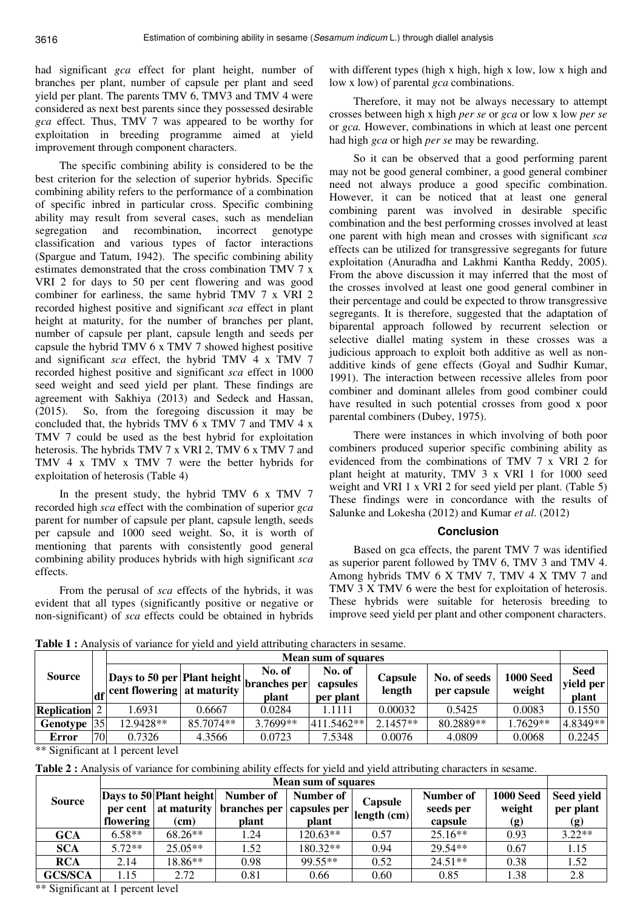had significant *gca* effect for plant height, number of branches per plant, number of capsule per plant and seed yield per plant. The parents TMV 6, TMV3 and TMV 4 were considered as next best parents since they possessed desirable *gca* effect. Thus, TMV 7 was appeared to be worthy for exploitation in breeding programme aimed at yield improvement through component characters.

The specific combining ability is considered to be the best criterion for the selection of superior hybrids. Specific combining ability refers to the performance of a combination of specific inbred in particular cross. Specific combining ability may result from several cases, such as mendelian segregation and recombination, incorrect genotype classification and various types of factor interactions (Spargue and Tatum, 1942). The specific combining ability estimates demonstrated that the cross combination TMV 7 x VRI 2 for days to 50 per cent flowering and was good combiner for earliness, the same hybrid TMV 7 x VRI 2 recorded highest positive and significant *sca* effect in plant height at maturity, for the number of branches per plant, number of capsule per plant, capsule length and seeds per capsule the hybrid TMV 6 x TMV 7 showed highest positive and significant *sca* effect, the hybrid TMV 4 x TMV 7 recorded highest positive and significant *sca* effect in 1000 seed weight and seed yield per plant. These findings are agreement with Sakhiya (2013) and Sedeck and Hassan, (2015). So, from the foregoing discussion it may be concluded that, the hybrids TMV 6 x TMV 7 and TMV 4 x TMV 7 could be used as the best hybrid for exploitation heterosis. The hybrids TMV 7 x VRI 2, TMV 6 x TMV 7 and TMV 4 x TMV x TMV 7 were the better hybrids for exploitation of heterosis (Table 4)

In the present study, the hybrid TMV 6 x TMV 7 recorded high *sca* effect with the combination of superior *gca*  parent for number of capsule per plant, capsule length, seeds per capsule and 1000 seed weight. So, it is worth of mentioning that parents with consistently good general combining ability produces hybrids with high significant *sca*  effects.

From the perusal of *sca* effects of the hybrids, it was evident that all types (significantly positive or negative or non-significant) of *sca* effects could be obtained in hybrids

with different types (high x high, high x low, low x high and low x low) of parental *gca* combinations.

Therefore, it may not be always necessary to attempt crosses between high x high *per se* or *gca* or low x low *per se*  or *gca.* However, combinations in which at least one percent had high *gca* or high *per se* may be rewarding.

So it can be observed that a good performing parent may not be good general combiner, a good general combiner need not always produce a good specific combination. However, it can be noticed that at least one general combining parent was involved in desirable specific combination and the best performing crosses involved at least one parent with high mean and crosses with significant *sca*  effects can be utilized for transgressive segregants for future exploitation (Anuradha and Lakhmi Kantha Reddy, 2005). From the above discussion it may inferred that the most of the crosses involved at least one good general combiner in their percentage and could be expected to throw transgressive segregants. It is therefore, suggested that the adaptation of biparental approach followed by recurrent selection or selective diallel mating system in these crosses was a judicious approach to exploit both additive as well as nonadditive kinds of gene effects (Goyal and Sudhir Kumar, 1991). The interaction between recessive alleles from poor combiner and dominant alleles from good combiner could have resulted in such potential crosses from good x poor parental combiners (Dubey, 1975).

There were instances in which involving of both poor combiners produced superior specific combining ability as evidenced from the combinations of TMV 7 x VRI 2 for plant height at maturity, TMV 3 x VRI 1 for 1000 seed weight and VRI 1 x VRI 2 for seed yield per plant. (Table 5) These findings were in concordance with the results of Salunke and Lokesha (2012) and Kumar *et al*. (2012)

# **Conclusion**

Based on gca effects, the parent TMV 7 was identified as superior parent followed by TMV 6, TMV 3 and TMV 4. Among hybrids TMV 6 X TMV 7, TMV 4 X TMV 7 and TMV 3 X TMV 6 were the best for exploitation of heterosis. These hybrids were suitable for heterosis breeding to improve seed yield per plant and other component characters.

Table 1 : Analysis of variance for yield and yield attributing characters in sesame.

|                      |    | <b>Mean sum of squares</b>                                                               |           |                                 |                                 |                   |                             |                            |                                   |  |
|----------------------|----|------------------------------------------------------------------------------------------|-----------|---------------------------------|---------------------------------|-------------------|-----------------------------|----------------------------|-----------------------------------|--|
| <b>Source</b>        |    | Days to 50 per Plant height.<br>$\left  \frac{d}{dt} \right $ cent flowering at maturity |           | No. of<br>branches per<br>plant | No. of<br>capsules<br>per plant | Capsule<br>length | No. of seeds<br>per capsule | <b>1000 Seed</b><br>weight | <b>Seed</b><br>yield per<br>plant |  |
| <b>Replication</b> 2 |    | .6931                                                                                    | 0.6667    | 0.0284                          | 1.1111                          | 0.00032           | 0.5425                      | 0.0083                     | 0.1550                            |  |
| <b>Genotype</b>      | 35 | 12.9428**                                                                                | 85.7074** | 3.7699**                        | 411.5462**                      | $2.1457**$        | 80.2889**                   | .7629**                    | 4.8349**                          |  |
| <b>Error</b>         | 70 | 0.7326                                                                                   | 4.3566    | 0.0723                          | 7.5348                          | 0.0076            | 4.0809                      | 0.0068                     | 0.2245                            |  |

\*\* Significant at 1 percent level

**Table 2 :** Analysis of variance for combining ability effects for yield and yield attributing characters in sesame.

|                | <b>Mean sum of squares</b>                                       |           |                                        |            |             |                        |                            |                         |
|----------------|------------------------------------------------------------------|-----------|----------------------------------------|------------|-------------|------------------------|----------------------------|-------------------------|
| <b>Source</b>  | Days to 50 Plant height<br>per cent   at maturity   branches per |           | Number of<br>Number of<br>capsules per |            | Capsule     | Number of<br>seeds per | <b>1000 Seed</b><br>weight | Seed yield<br>per plant |
|                | flowering                                                        | (cm)      | plant                                  | plant      | length (cm) | capsule                | (g)                        | (g)                     |
| <b>GCA</b>     | $6.58**$                                                         | $68.26**$ | 1.24                                   | $120.63**$ | 0.57        | $25.16**$              | 0.93                       | $3.22**$                |
| <b>SCA</b>     | $5.72**$                                                         | $25.05**$ | 1.52                                   | 180.32**   | 0.94        | 29.54**                | 0.67                       | 1.15                    |
| <b>RCA</b>     | 2.14                                                             | 18.86**   | 0.98                                   | 99.55**    | 0.52        | $24.51**$              | 0.38                       | 1.52                    |
| <b>GCS/SCA</b> | 1.15                                                             | 2.72      | 0.81                                   | 0.66       | 0.60        | 0.85                   | 1.38                       | 2.8                     |

\*\* Significant at 1 percent level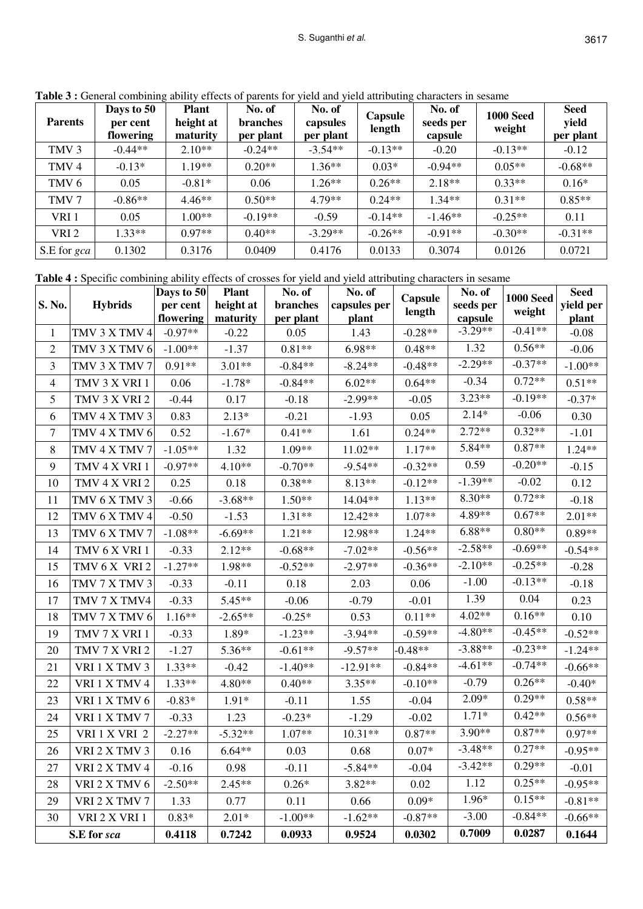| <b>Parents</b>   | Days to 50<br>per cent<br>flowering | <b>Plant</b><br>height at<br>maturity | No. of<br><b>branches</b><br>per plant | No. of<br>capsules<br>per plant | Capsule<br>length | No. of<br>seeds per<br>capsule | <b>1000 Seed</b><br>weight | <b>Seed</b><br>yield<br>per plant |
|------------------|-------------------------------------|---------------------------------------|----------------------------------------|---------------------------------|-------------------|--------------------------------|----------------------------|-----------------------------------|
| TMV <sub>3</sub> | $-0.44**$                           | $2.10**$                              | $-0.24**$                              | $-3.54**$                       | $-0.13**$         | $-0.20$                        | $-0.13**$                  | $-0.12$                           |
| TMV <sub>4</sub> | $-0.13*$                            | $1.19**$                              | $0.20**$                               | $1.36**$                        | $0.03*$           | $-0.94**$                      | $0.05**$                   | $-0.68**$                         |
| TMV <sub>6</sub> | 0.05                                | $-0.81*$                              | 0.06                                   | $1.26**$                        | $0.26**$          | $2.18**$                       | $0.33**$                   | $0.16*$                           |
| TMV 7            | $-0.86**$                           | $4.46**$                              | $0.50**$                               | $4.79**$                        | $0.24**$          | $1.34**$                       | $0.31**$                   | $0.85**$                          |
| VRI1             | 0.05                                | $1.00**$                              | $-0.19**$                              | $-0.59$                         | $-0.14**$         | $-1.46**$                      | $-0.25**$                  | 0.11                              |
| VRI <sub>2</sub> | $1.33**$                            | $0.97**$                              | $0.40**$                               | $-3.29**$                       | $-0.26**$         | $-0.91**$                      | $-0.30**$                  | $-0.31**$                         |
| S.E for gca      | 0.1302                              | 0.3176                                | 0.0409                                 | 0.4176                          | 0.0133            | 0.3074                         | 0.0126                     | 0.0721                            |

Table 3 : General combining ability effects of parents for yield and yield attributing characters in sesame

**Table 4 :** Specific combining ability effects of crosses for yield and yield attributing characters in sesame

| S. No.                  |                | Days to 50            | <b>Plant</b><br>height at | No. of<br>branches | No. of<br>capsules per | Capsule   | No. of<br><b>1000 Seed</b><br>seeds per<br>weight<br>capsule | <b>Seed</b> |                    |
|-------------------------|----------------|-----------------------|---------------------------|--------------------|------------------------|-----------|--------------------------------------------------------------|-------------|--------------------|
|                         | <b>Hybrids</b> | per cent<br>flowering | maturity                  | per plant          | plant                  | length    |                                                              |             | yield per<br>plant |
| $\mathbf{1}$            | TMV 3 X TMV 4  | $-0.97**$             | $-0.22$                   | 0.05               | 1.43                   | $-0.28**$ | $-3.29**$                                                    | $-0.41**$   | $-0.08$            |
| $\overline{2}$          | TMV 3 X TMV 6  | $-1.00**$             | $-1.37$                   | $0.81**$           | $6.98**$               | $0.48**$  | 1.32                                                         | $0.56**$    | $-0.06$            |
| 3                       | TMV 3 X TMV 7  | $0.91**$              | $3.01**$                  | $-0.84**$          | $-8.24**$              | $-0.48**$ | $-2.29**$                                                    | $-0.37**$   | $-1.00**$          |
| $\overline{\mathbf{4}}$ | TMV 3 X VRI 1  | 0.06                  | $-1.78*$                  | $-0.84**$          | $6.02**$               | $0.64**$  | $-0.34$                                                      | $0.72**$    | $0.51^{\ast\ast}$  |
| 5                       | TMV 3 X VRI 2  | $-0.44$               | 0.17                      | $-0.18$            | $-2.99**$              | $-0.05$   | $3.23**$                                                     | $-0.19**$   | $-0.37*$           |
| 6                       | TMV 4 X TMV 3  | 0.83                  | $2.13*$                   | $-0.21$            | $-1.93$                | 0.05      | $2.14*$                                                      | $-0.06$     | 0.30               |
| 7                       | TMV 4 X TMV 6  | 0.52                  | $-1.67*$                  | $0.41**$           | 1.61                   | $0.24**$  | $2.72**$                                                     | $0.32**$    | $-1.01$            |
| 8                       | TMV 4 X TMV 7  | $-1.05**$             | 1.32                      | 1.09**             | $11.02**$              | $1.17**$  | 5.84**                                                       | $0.87**$    | $1.24**$           |
| 9                       | TMV 4 X VRI 1  | $-0.97**$             | $4.10**$                  | $-0.70**$          | $-9.54**$              | $-0.32**$ | 0.59                                                         | $-0.20**$   | $-0.15$            |
| 10                      | TMV 4 X VRI 2  | 0.25                  | 0.18                      | $0.38**$           | $8.13**$               | $-0.12**$ | $-1.39**$                                                    | $-0.02$     | 0.12               |
| 11                      | TMV 6 X TMV 3  | $-0.66$               | $-3.68**$                 | $1.50**$           | 14.04**                | $1.13**$  | 8.30**                                                       | $0.72**$    | $-0.18$            |
| 12                      | TMV 6 X TMV 4  | $-0.50$               | $-1.53$                   | $1.31**$           | 12.42**                | $1.07**$  | 4.89**                                                       | $0.67**$    | $2.01**$           |
| 13                      | TMV 6 X TMV 7  | $-1.08**$             | $-6.69**$                 | $1.21**$           | 12.98**                | $1.24**$  | $6.88**$                                                     | $0.80**$    | $0.89**$           |
| 14                      | TMV 6 X VRI 1  | $-0.33$               | $2.12**$                  | $-0.68**$          | $-7.02**$              | $-0.56**$ | $-2.58**$                                                    | $-0.69**$   | $-0.54**$          |
| 15                      | TMV 6 X VRI 2  | $-1.27**$             | 1.98**                    | $-0.52**$          | $-2.97**$              | $-0.36**$ | $-2.10**$                                                    | $-0.25**$   | $-0.28$            |
| 16                      | TMV 7 X TMV 3  | $-0.33$               | $-0.11$                   | 0.18               | 2.03                   | 0.06      | $-1.00$                                                      | $-0.13**$   | $-0.18$            |
| 17                      | TMV 7 X TMV4   | $-0.33$               | 5.45**                    | $-0.06$            | $-0.79$                | $-0.01$   | 1.39                                                         | 0.04        | 0.23               |
| 18                      | TMV 7 X TMV 6  | $1.16**$              | $-2.65**$                 | $-0.25*$           | 0.53                   | $0.11**$  | $4.02**$                                                     | $0.16**$    | 0.10               |
| 19                      | TMV 7 X VRI 1  | $-0.33$               | 1.89*                     | $-1.23**$          | $-3.94**$              | $-0.59**$ | $-4.80**$                                                    | $-0.45**$   | $-0.52**$          |
| 20                      | TMV 7 X VRI 2  | $-1.27$               | 5.36**                    | $-0.61**$          | $-9.57**$              | $-0.48**$ | $-3.88**$                                                    | $-0.23**$   | $-1.24**$          |
| 21                      | VRI 1 X TMV 3  | $1.33**$              | $-0.42$                   | $-1.40**$          | $-12.91**$             | $-0.84**$ | $-4.61**$                                                    | $-0.74**$   | $-0.66**$          |
| 22                      | VRI 1 X TMV 4  | $1.33**$              | 4.80**                    | $0.40**$           | $3.35**$               | $-0.10**$ | $-0.79$                                                      | $0.26**$    | $-0.40*$           |
| 23                      | VRI 1 X TMV 6  | $-0.83*$              | 1.91*                     | $-0.11$            | 1.55                   | -0.04     | $2.09*$                                                      | $0.29**$    | $0.58**$           |
| 24                      | VRI 1 X TMV 7  | $-0.33$               | 1.23                      | $-0.23*$           | $-1.29$                | $-0.02$   | $1.71*$                                                      | $0.42**$    | $0.56**$           |
| 25                      | VRI 1 X VRI 2  | $-2.27**$             | $-5.32**$                 | $1.07**$           | $10.31**$              | $0.87**$  | $3.90**$                                                     | $0.87**$    | $0.97**$           |
| 26                      | VRI 2 X TMV 3  | 0.16                  | $6.64**$                  | 0.03               | 0.68                   | $0.07*$   | $-3.48**$                                                    | $0.27**$    | $-0.95**$          |
| 27                      | VRI 2 X TMV 4  | $-0.16$               | 0.98                      | $-0.11$            | $-5.84**$              | $-0.04$   | $-3.42**$                                                    | $0.29**$    | $-0.01$            |
| 28                      | VRI 2 X TMV 6  | $-2.50**$             | $2.45**$                  | $0.26*$            | 3.82**                 | 0.02      | 1.12                                                         | $0.25**$    | $-0.95**$          |
| 29                      | VRI 2 X TMV 7  | 1.33                  | 0.77                      | 0.11               | $0.66\,$               | $0.09*$   | 1.96*                                                        | $0.15**$    | $-0.81**$          |
| 30                      | VRI 2 X VRI 1  | $0.83*$               | $2.01*$                   | $-1.00**$          | $-1.62**$              | $-0.87**$ | $-3.00$                                                      | $-0.84**$   | $-0.66**$          |
| S.E for sca             |                | 0.4118                | 0.7242                    | 0.0933             | 0.9524                 | 0.0302    | 0.7009                                                       | 0.0287      | 0.1644             |